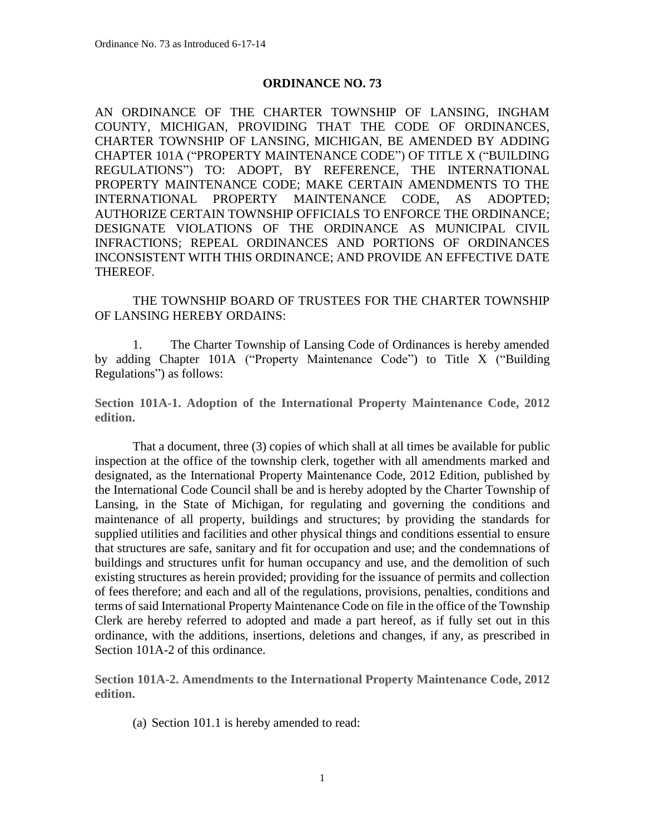## **ORDINANCE NO. 73**

AN ORDINANCE OF THE CHARTER TOWNSHIP OF LANSING, INGHAM COUNTY, MICHIGAN, PROVIDING THAT THE CODE OF ORDINANCES, CHARTER TOWNSHIP OF LANSING, MICHIGAN, BE AMENDED BY ADDING CHAPTER 101A ("PROPERTY MAINTENANCE CODE") OF TITLE X ("BUILDING REGULATIONS") TO: ADOPT, BY REFERENCE, THE INTERNATIONAL PROPERTY MAINTENANCE CODE; MAKE CERTAIN AMENDMENTS TO THE INTERNATIONAL PROPERTY MAINTENANCE CODE, AS ADOPTED; AUTHORIZE CERTAIN TOWNSHIP OFFICIALS TO ENFORCE THE ORDINANCE; DESIGNATE VIOLATIONS OF THE ORDINANCE AS MUNICIPAL CIVIL INFRACTIONS; REPEAL ORDINANCES AND PORTIONS OF ORDINANCES INCONSISTENT WITH THIS ORDINANCE; AND PROVIDE AN EFFECTIVE DATE THEREOF.

THE TOWNSHIP BOARD OF TRUSTEES FOR THE CHARTER TOWNSHIP OF LANSING HEREBY ORDAINS:

1. The Charter Township of Lansing Code of Ordinances is hereby amended by adding Chapter 101A ("Property Maintenance Code") to Title X ("Building Regulations") as follows:

**Section 101A-1. Adoption of the International Property Maintenance Code, 2012 edition.**

That a document, three (3) copies of which shall at all times be available for public inspection at the office of the township clerk, together with all amendments marked and designated, as the International Property Maintenance Code, 2012 Edition, published by the International Code Council shall be and is hereby adopted by the Charter Township of Lansing, in the State of Michigan, for regulating and governing the conditions and maintenance of all property, buildings and structures; by providing the standards for supplied utilities and facilities and other physical things and conditions essential to ensure that structures are safe, sanitary and fit for occupation and use; and the condemnations of buildings and structures unfit for human occupancy and use, and the demolition of such existing structures as herein provided; providing for the issuance of permits and collection of fees therefore; and each and all of the regulations, provisions, penalties, conditions and terms of said International Property Maintenance Code on file in the office of the Township Clerk are hereby referred to adopted and made a part hereof, as if fully set out in this ordinance, with the additions, insertions, deletions and changes, if any, as prescribed in Section 101A-2 of this ordinance.

**Section 101A-2. Amendments to the International Property Maintenance Code, 2012 edition.**

(a) Section 101.1 is hereby amended to read: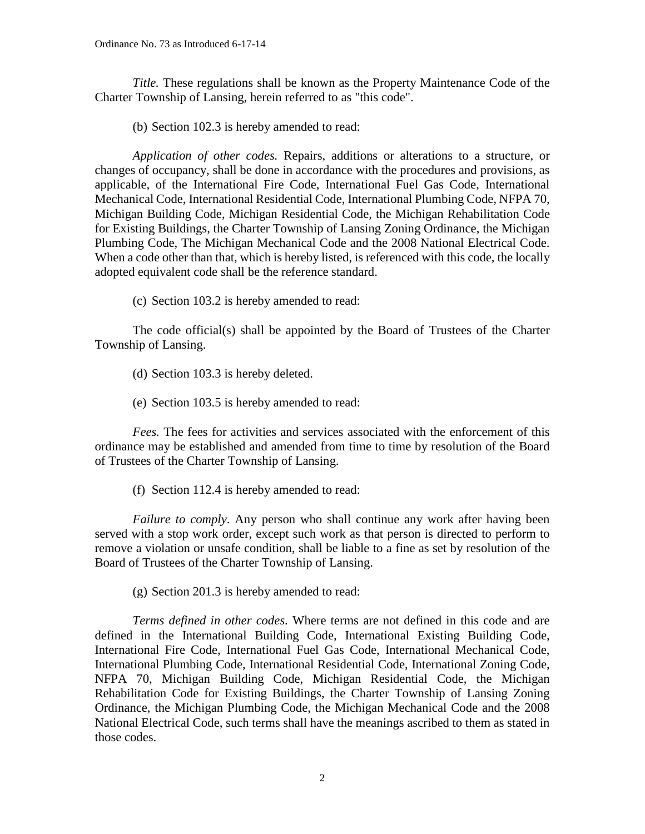*Title.* These regulations shall be known as the Property Maintenance Code of the Charter Township of Lansing, herein referred to as "this code".

(b) Section 102.3 is hereby amended to read:

*Application of other codes.* Repairs, additions or alterations to a structure, or changes of occupancy, shall be done in accordance with the procedures and provisions, as applicable, of the International Fire Code, International Fuel Gas Code, International Mechanical Code, International Residential Code, International Plumbing Code, NFPA 70, Michigan Building Code, Michigan Residential Code, the Michigan Rehabilitation Code for Existing Buildings, the Charter Township of Lansing Zoning Ordinance, the Michigan Plumbing Code, The Michigan Mechanical Code and the 2008 National Electrical Code. When a code other than that, which is hereby listed, is referenced with this code, the locally adopted equivalent code shall be the reference standard.

(c) Section 103.2 is hereby amended to read:

The code official(s) shall be appointed by the Board of Trustees of the Charter Township of Lansing.

(d) Section 103.3 is hereby deleted.

(e) Section 103.5 is hereby amended to read:

*Fees.* The fees for activities and services associated with the enforcement of this ordinance may be established and amended from time to time by resolution of the Board of Trustees of the Charter Township of Lansing.

(f) Section 112.4 is hereby amended to read:

*Failure to comply*. Any person who shall continue any work after having been served with a stop work order, except such work as that person is directed to perform to remove a violation or unsafe condition, shall be liable to a fine as set by resolution of the Board of Trustees of the Charter Township of Lansing.

(g) Section 201.3 is hereby amended to read:

*Terms defined in other codes*. Where terms are not defined in this code and are defined in the International Building Code, International Existing Building Code, International Fire Code, International Fuel Gas Code, International Mechanical Code, International Plumbing Code, International Residential Code, International Zoning Code, NFPA 70, Michigan Building Code, Michigan Residential Code, the Michigan Rehabilitation Code for Existing Buildings, the Charter Township of Lansing Zoning Ordinance, the Michigan Plumbing Code, the Michigan Mechanical Code and the 2008 National Electrical Code, such terms shall have the meanings ascribed to them as stated in those codes.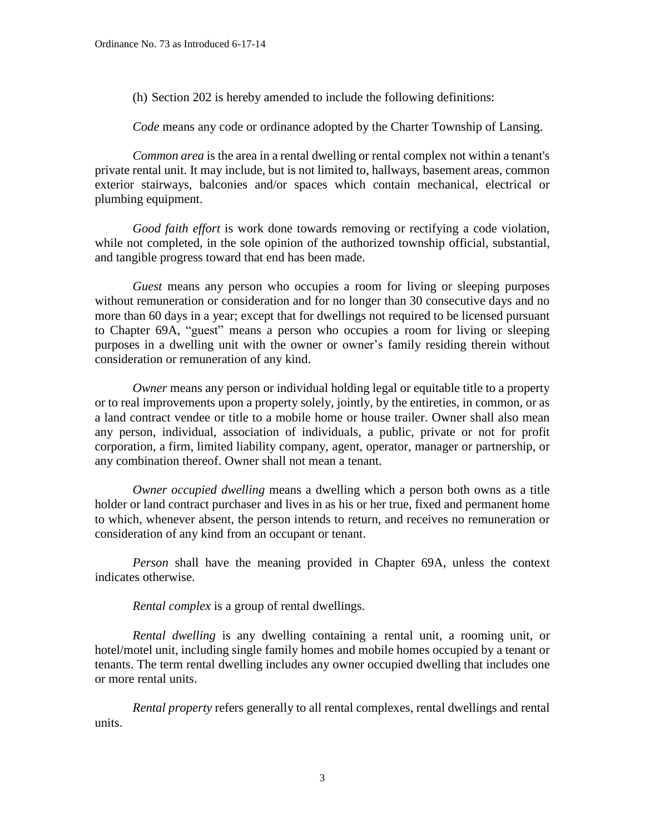(h) Section 202 is hereby amended to include the following definitions:

*Code* means any code or ordinance adopted by the Charter Township of Lansing.

*Common area* is the area in a rental dwelling or rental complex not within a tenant's private rental unit. It may include, but is not limited to, hallways, basement areas, common exterior stairways, balconies and/or spaces which contain mechanical, electrical or plumbing equipment.

*Good faith effort* is work done towards removing or rectifying a code violation, while not completed, in the sole opinion of the authorized township official, substantial, and tangible progress toward that end has been made.

*Guest* means any person who occupies a room for living or sleeping purposes without remuneration or consideration and for no longer than 30 consecutive days and no more than 60 days in a year; except that for dwellings not required to be licensed pursuant to Chapter 69A, "guest" means a person who occupies a room for living or sleeping purposes in a dwelling unit with the owner or owner's family residing therein without consideration or remuneration of any kind.

*Owner* means any person or individual holding legal or equitable title to a property or to real improvements upon a property solely, jointly, by the entireties, in common, or as a land contract vendee or title to a mobile home or house trailer. Owner shall also mean any person, individual, association of individuals, a public, private or not for profit corporation, a firm, limited liability company, agent, operator, manager or partnership, or any combination thereof. Owner shall not mean a tenant.

*Owner occupied dwelling* means a dwelling which a person both owns as a title holder or land contract purchaser and lives in as his or her true, fixed and permanent home to which, whenever absent, the person intends to return, and receives no remuneration or consideration of any kind from an occupant or tenant.

*Person* shall have the meaning provided in Chapter 69A, unless the context indicates otherwise.

*Rental complex* is a group of rental dwellings.

*Rental dwelling* is any dwelling containing a rental unit, a rooming unit, or hotel/motel unit, including single family homes and mobile homes occupied by a tenant or tenants. The term rental dwelling includes any owner occupied dwelling that includes one or more rental units.

*Rental property* refers generally to all rental complexes, rental dwellings and rental units.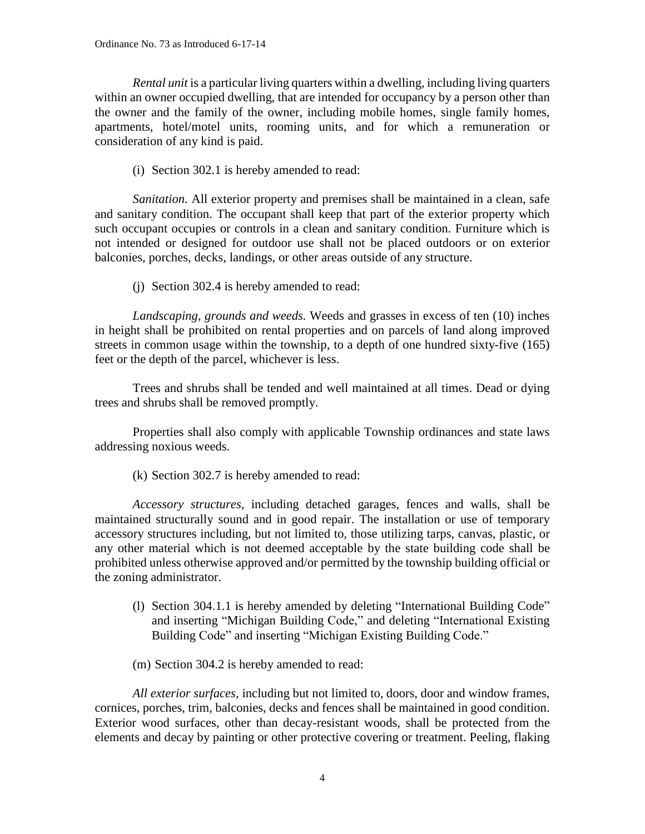*Rental unit* is a particular living quarters within a dwelling, including living quarters within an owner occupied dwelling, that are intended for occupancy by a person other than the owner and the family of the owner, including mobile homes, single family homes, apartments, hotel/motel units, rooming units, and for which a remuneration or consideration of any kind is paid.

(i) Section 302.1 is hereby amended to read:

*Sanitation.* All exterior property and premises shall be maintained in a clean, safe and sanitary condition. The occupant shall keep that part of the exterior property which such occupant occupies or controls in a clean and sanitary condition. Furniture which is not intended or designed for outdoor use shall not be placed outdoors or on exterior balconies, porches, decks, landings, or other areas outside of any structure.

(j) Section 302.4 is hereby amended to read:

*Landscaping, grounds and weeds.* Weeds and grasses in excess of ten (10) inches in height shall be prohibited on rental properties and on parcels of land along improved streets in common usage within the township, to a depth of one hundred sixty-five (165) feet or the depth of the parcel, whichever is less.

Trees and shrubs shall be tended and well maintained at all times. Dead or dying trees and shrubs shall be removed promptly.

Properties shall also comply with applicable Township ordinances and state laws addressing noxious weeds.

(k) Section 302.7 is hereby amended to read:

*Accessory structures,* including detached garages, fences and walls, shall be maintained structurally sound and in good repair. The installation or use of temporary accessory structures including, but not limited to, those utilizing tarps, canvas, plastic, or any other material which is not deemed acceptable by the state building code shall be prohibited unless otherwise approved and/or permitted by the township building official or the zoning administrator.

(l) Section 304.1.1 is hereby amended by deleting "International Building Code" and inserting "Michigan Building Code," and deleting "International Existing Building Code" and inserting "Michigan Existing Building Code."

(m) Section 304.2 is hereby amended to read:

*All exterior surfaces,* including but not limited to, doors, door and window frames, cornices, porches, trim, balconies, decks and fences shall be maintained in good condition. Exterior wood surfaces, other than decay-resistant woods, shall be protected from the elements and decay by painting or other protective covering or treatment. Peeling, flaking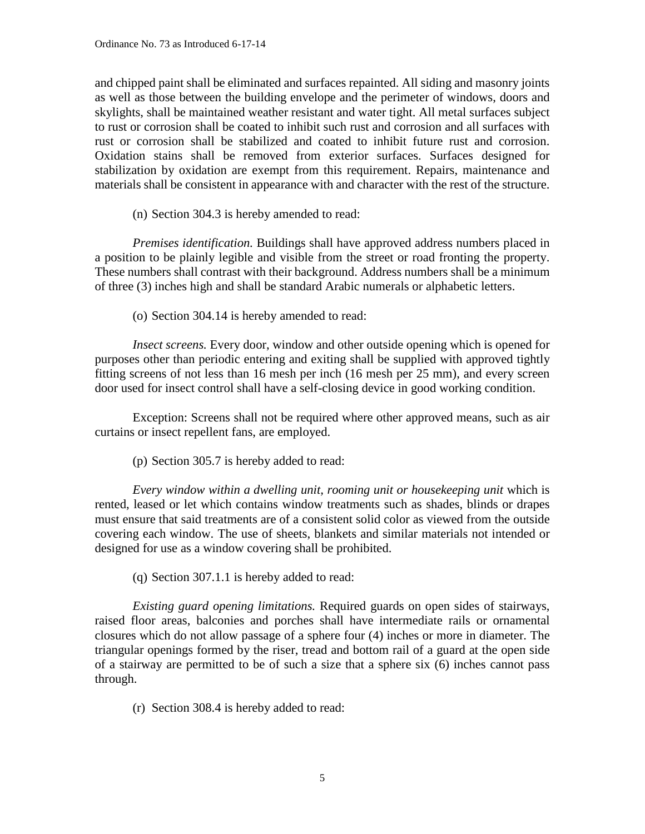and chipped paint shall be eliminated and surfaces repainted. All siding and masonry joints as well as those between the building envelope and the perimeter of windows, doors and skylights, shall be maintained weather resistant and water tight. All metal surfaces subject to rust or corrosion shall be coated to inhibit such rust and corrosion and all surfaces with rust or corrosion shall be stabilized and coated to inhibit future rust and corrosion. Oxidation stains shall be removed from exterior surfaces. Surfaces designed for stabilization by oxidation are exempt from this requirement. Repairs, maintenance and materials shall be consistent in appearance with and character with the rest of the structure.

(n) Section 304.3 is hereby amended to read:

*Premises identification.* Buildings shall have approved address numbers placed in a position to be plainly legible and visible from the street or road fronting the property. These numbers shall contrast with their background. Address numbers shall be a minimum of three (3) inches high and shall be standard Arabic numerals or alphabetic letters.

(o) Section 304.14 is hereby amended to read:

*Insect screens.* Every door, window and other outside opening which is opened for purposes other than periodic entering and exiting shall be supplied with approved tightly fitting screens of not less than 16 mesh per inch (16 mesh per 25 mm), and every screen door used for insect control shall have a self-closing device in good working condition.

Exception: Screens shall not be required where other approved means, such as air curtains or insect repellent fans, are employed.

(p) Section 305.7 is hereby added to read:

*Every window within a dwelling unit, rooming unit or housekeeping unit* which is rented, leased or let which contains window treatments such as shades, blinds or drapes must ensure that said treatments are of a consistent solid color as viewed from the outside covering each window. The use of sheets, blankets and similar materials not intended or designed for use as a window covering shall be prohibited.

(q) Section 307.1.1 is hereby added to read:

*Existing guard opening limitations.* Required guards on open sides of stairways, raised floor areas, balconies and porches shall have intermediate rails or ornamental closures which do not allow passage of a sphere four (4) inches or more in diameter. The triangular openings formed by the riser, tread and bottom rail of a guard at the open side of a stairway are permitted to be of such a size that a sphere six (6) inches cannot pass through.

(r) Section 308.4 is hereby added to read: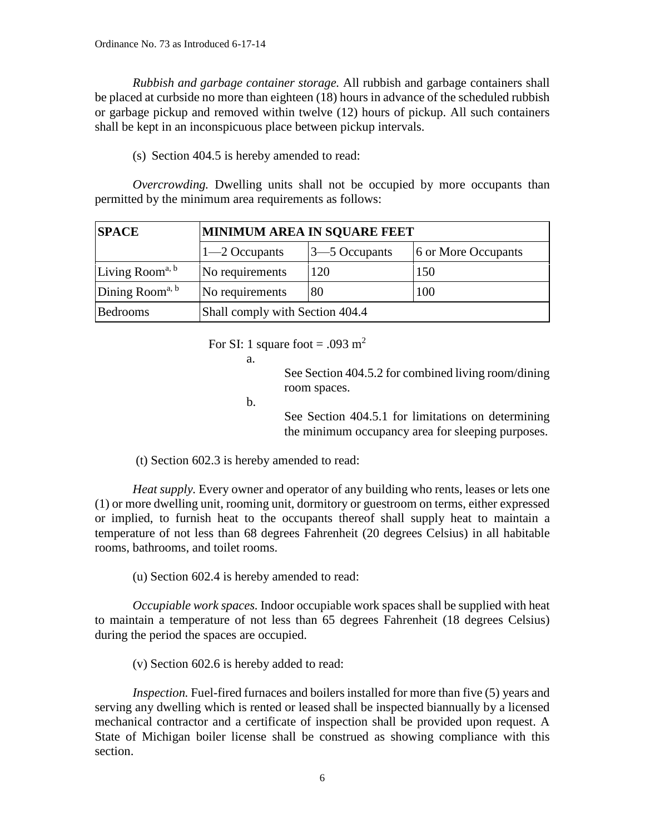*Rubbish and garbage container storage.* All rubbish and garbage containers shall be placed at curbside no more than eighteen (18) hours in advance of the scheduled rubbish or garbage pickup and removed within twelve (12) hours of pickup. All such containers shall be kept in an inconspicuous place between pickup intervals.

(s) Section 404.5 is hereby amended to read:

*Overcrowding.* Dwelling units shall not be occupied by more occupants than permitted by the minimum area requirements as follows:

| <b>SPACE</b>                | <b>MINIMUM AREA IN SQUARE FEET</b> |                   |                     |
|-----------------------------|------------------------------------|-------------------|---------------------|
|                             | $\left 1\right $ -2 Occupants      | $3 - 5$ Occupants | 6 or More Occupants |
| Living Room <sup>a, b</sup> | No requirements                    | 120               | 150                 |
| Dining Room <sup>a, b</sup> | No requirements                    | 80                | 100                 |
| <b>Bedrooms</b>             | Shall comply with Section 404.4    |                   |                     |

For SI: 1 square foot = .093 m<sup>2</sup>

a.

See Section 404.5.2 for combined living room/dining room spaces.

b.

See Section 404.5.1 for limitations on determining the minimum occupancy area for sleeping purposes.

(t) Section 602.3 is hereby amended to read:

*Heat supply.* Every owner and operator of any building who rents, leases or lets one (1) or more dwelling unit, rooming unit, dormitory or guestroom on terms, either expressed or implied, to furnish heat to the occupants thereof shall supply heat to maintain a temperature of not less than 68 degrees Fahrenheit (20 degrees Celsius) in all habitable rooms, bathrooms, and toilet rooms.

(u) Section 602.4 is hereby amended to read:

*Occupiable work spaces.* Indoor occupiable work spaces shall be supplied with heat to maintain a temperature of not less than 65 degrees Fahrenheit (18 degrees Celsius) during the period the spaces are occupied.

(v) Section 602.6 is hereby added to read:

*Inspection*. Fuel-fired furnaces and boilers installed for more than five (5) years and serving any dwelling which is rented or leased shall be inspected biannually by a licensed mechanical contractor and a certificate of inspection shall be provided upon request. A State of Michigan boiler license shall be construed as showing compliance with this section.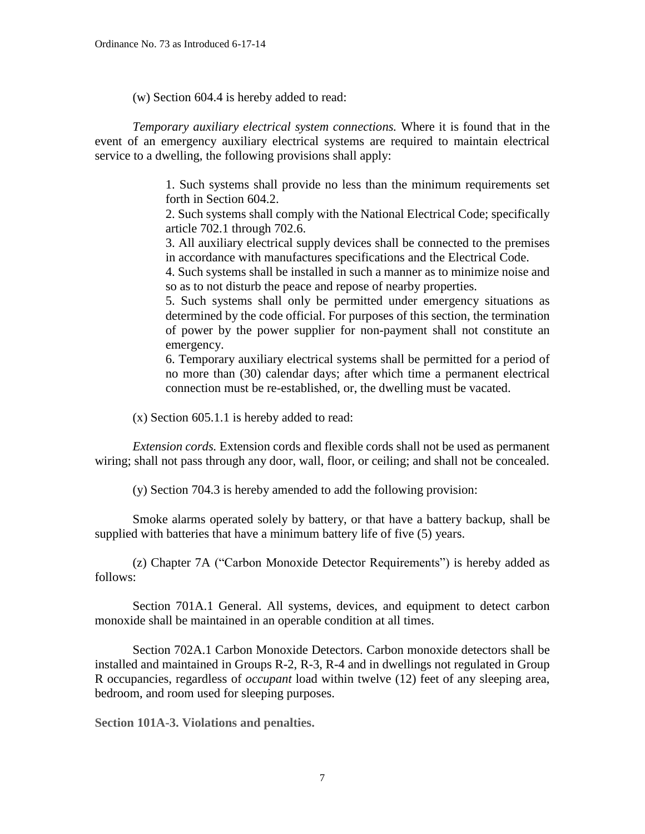(w) Section 604.4 is hereby added to read:

*Temporary auxiliary electrical system connections.* Where it is found that in the event of an emergency auxiliary electrical systems are required to maintain electrical service to a dwelling, the following provisions shall apply:

> 1. Such systems shall provide no less than the minimum requirements set forth in Section 604.2.

> 2. Such systems shall comply with the National Electrical Code; specifically article 702.1 through 702.6.

> 3. All auxiliary electrical supply devices shall be connected to the premises in accordance with manufactures specifications and the Electrical Code.

> 4. Such systems shall be installed in such a manner as to minimize noise and so as to not disturb the peace and repose of nearby properties.

> 5. Such systems shall only be permitted under emergency situations as determined by the code official. For purposes of this section, the termination of power by the power supplier for non-payment shall not constitute an emergency.

> 6. Temporary auxiliary electrical systems shall be permitted for a period of no more than (30) calendar days; after which time a permanent electrical connection must be re-established, or, the dwelling must be vacated.

(x) Section 605.1.1 is hereby added to read:

*Extension cords.* Extension cords and flexible cords shall not be used as permanent wiring; shall not pass through any door, wall, floor, or ceiling; and shall not be concealed.

(y) Section 704.3 is hereby amended to add the following provision:

Smoke alarms operated solely by battery, or that have a battery backup, shall be supplied with batteries that have a minimum battery life of five (5) years.

(z) Chapter 7A ("Carbon Monoxide Detector Requirements") is hereby added as follows:

Section 701A.1 General. All systems, devices, and equipment to detect carbon monoxide shall be maintained in an operable condition at all times.

Section 702A.1 Carbon Monoxide Detectors. Carbon monoxide detectors shall be installed and maintained in Groups R-2, R-3, R-4 and in dwellings not regulated in Group R occupancies, regardless of *occupant* load within twelve (12) feet of any sleeping area, bedroom, and room used for sleeping purposes.

**Section 101A-3. Violations and penalties.**